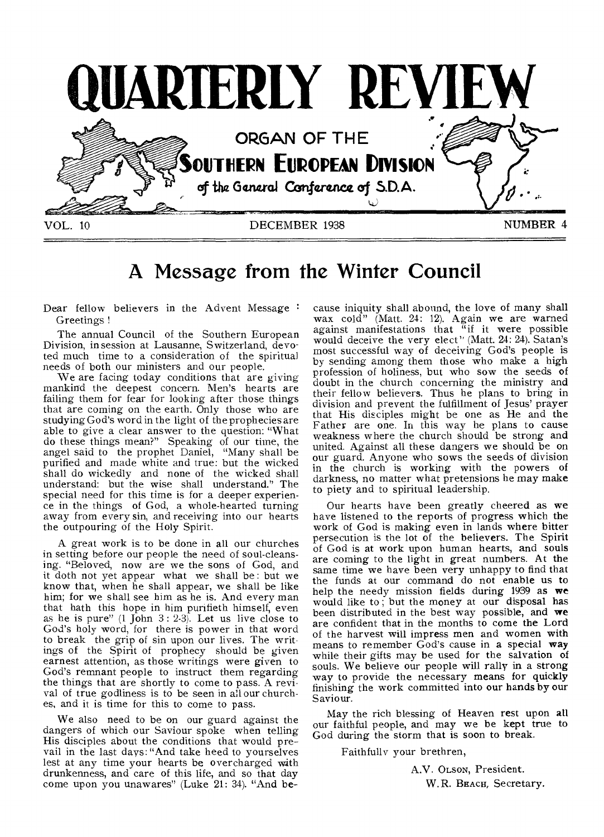

# **A Message from the Winter Council**

Dear fellow believers in the Advent Message: Greetings !

The annual Council of the Southern European Division, in session at Lausanne, Switzerland, devoted much time to a consideration of the spiritual needs of both our ministers and our people.

We are facing today conditions that are giving mankind the deepest concern. Men's hearts are failing them for fear for looking after those things that are coming on the earth. Only those who are studying God's word in the light of the prophecies are able to give a clear answer to the question: "What do these things mean?" Speaking of our time, the angel said to the prophet Daniel, "Many shall be purified and made white and true: but the wicked shall do wickedly and none of the wicked shall understand: but the wise shall understand." The special need for this time is for a deeper experience in the things of God, a whole-hearted turning away from every sin, and receiving into our hearts the outpouring of the Holy Spirit.

A great work is to be done in all our churches in setting before our people the need of soul-cleansing. "Beloved, now are we the sons of God, and it doth not yet appear what we shall be : but we know that, when he shall appear, we shall be like him; for we shall see him as he is. And every man that hath this hope in him purifieth himself, even as he is pure"  $(1$  John  $3: 2-3)$ . Let us live close to God's holy word, for there is power in that word to break the grip of sin upon our lives. The writings of the Spirit of prophecy should be given earnest attention, as those writings were given to God's remnant people to instruct them regarding the things that are shortly to come to pass. A revival of true godliness is to be seen in all our churches, and it is time for this to come to pass.

We also need to be on our guard against the dangers of which our Saviour spoke when telling His disciples about the conditions that would prevail in the last days: "And take heed to yourselves lest at any time your hearts be overcharged with drunkenness, and care of this life, and so that day come upon you unawares" (Luke 21: 34). "And be-

cause iniquity shall abound, the love of many shall wax cold" (Matt. 24: 12). Again we are warned against manifestations that "if it were possible would deceive the very elect" (Matt. 24: 24). Satan's most successful way of deceiving God's people is by sending among them those who make a high profession of holiness, but who sow the seeds of doubt in the church concerning the ministry and their fellow believers. Thus he plans to bring in division and prevent the fulfillment of Jesus' prayer that His disciples might be one as He and the Father are one. In this way he plans to cause weakness where the church should be strong and united. Against all these dangers we should be on our guard. Anyone who sows the seeds of division in the church is working with the powers of darkness, no matter what pretensions he may make to piety and to spiritual leadership.

Our hearts have been greatly cheered as we have listened to the reports of progress which the work of God is making even in lands where bitter persecution is the lot of the believers. The Spirit of God is at work upon human hearts, and souls are coming to the light in great numbers. At the same time we have been very unhappy to find that the funds at our command do not enable us to help the needy mission fields during 1939 as we would like to; but the money at our disposal has been distributed in the best way possible, and we are confident that in the months to come the Lord of the harvest will impress men and women with means to remember God's cause in a special way while their gifts may be used for the salvation of souls. We believe our people will rally in a strong way to provide the necessary means for quickly finishing the work committed into our hands by our Saviour.

May the rich blessing of Heaven rest upon all our faithful people, and may we be kept true to God during the storm that is soon to break.

Faithfully your brethren,

A.V. OLSON, President. W. R. BEACH, Secretary.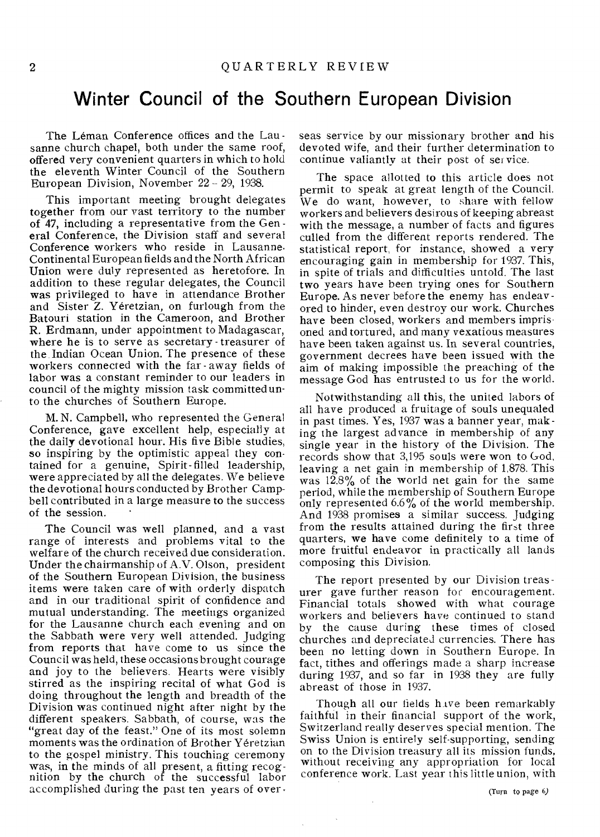### **Winter Council of the Southern European Division**

The Léman Conference offices and the Lausanne church chapel, both under the same roof, offered very convenient quarters in which to hold the eleventh Winter Council of the Southern European Division, November 22 - 29, 1938.

This important meeting brought delegates together from our vast territory to the number of 47, including a representative from the Gen eral Conference, the Division staff and several Conference workers who reside in Lausanne. Continental European fields and the North African Union were duly represented as heretofore. In addition to these regular delegates, the Council was privileged to have in attendance Brother and Sister Z. Yéretzian, on furlough from the Batouri station in the Cameroon, and Brother R. Erdmann, under appointment to Madagascar, where he is to serve as secretary - treasurer of the. Indian Ocean Union. The presence of these workers connected with the far - away fields of labor was a constant reminder to our leaders in council of the mighty mission task committed unto the churches of Southern Europe.

M. N. Campbell, who represented the General Conference, gave excellent help, especially at the daily devotional hour. His five Bible studies, so inspiring by the optimistic appeal they contained for a genuine, Spirit-filled leadership, were appreciated by all the delegates. We believe the devotional hours conducted by Brother Campbell contributed in a large measure to the success of the session.

The Council was well planned, and a vast range of interests and problems vital to the welfare of the church received due consideration. Under the chairmanship of A.V. Olson, president of the Southern European Division, the business items were taken care of with orderly dispatch and in our traditional spirit of confidence and mutual understanding. The meetings organized for the Lausanne church each evening and on the Sabbath were very well attended. Judging from reports that have come to us since the Council was held, these occasions brought courage and joy to the believers. Hearts were visibly stirred as the inspiring recital of what God is doing throughout the length and breadth of the Division was continued night after night by the different speakers. Sabbath, of course, was the "great day of the feast." One of its most solemn moments was the ordination of Brother Yeretzian to the gospel ministry. This touching ceremony was, in the minds of all present, a fitting recognition by the church of the successful labor accomplished during the past ten years of overseas service by our missionary brother and his devoted wife, and their further determination to continue valiantly at their post of service.

The space allotted to this article does not permit to speak at great length of the Council. We do want, however, to share with fellow workers and believers desirous of keeping abreast with the message, a number of facts and figures culled from the different reports rendered. The statistical report, for instance, showed a very encouraging gain in membership for 1937. This, in spite of trials and difficulties untold. The last two years have been trying ones for Southern Europe. As never before the enemy has endeavored to hinder, even destroy our work. Churches have been closed, workers and members imprisoned and tortured, and many vexatious measures have been taken against us. In several countries, government decrees have been issued with the aim of making impossible the preaching of the message God has entrusted to us for the world.

Notwithstanding all this, the united labors of all have produced a fruitage of souls unequaled in past times. Yes, 1937 was a banner year, making the largest advance in membership of any single year in the history of the Division. The records show that 3,195 souls were won to God, leaving a net gain in membership of 1,878. This was 12.8% of the world net gain for the same period, while the membership of Southern Europe only represented  $6.6\%$  of the world membership. And 1938 promises a similar success. Judging from the results attained during the first three quarters, we have come definitely to a time of more fruitful endeavor in practically all lands composing this Division.

The report presented by our Division treas urer gave further reason for encouragement. Financial totals showed with what courage workers and believers have continued to stand by the cause during these times of closed churches and depreciated currencies. There has been no letting down in Southern Europe. In fact, tithes and offerings made a sharp increase during 1937, and so far in 1938 they are fully abreast of those in 1937.

Though all our fields have been remarkably faithful in their financial support of the work, Switzerland really deserves special mention. The Swiss Union is entirely self-supporting, sending on to the Division treasury all its mission funds, without receiving any appropriation for local conference work. Last year this little union, with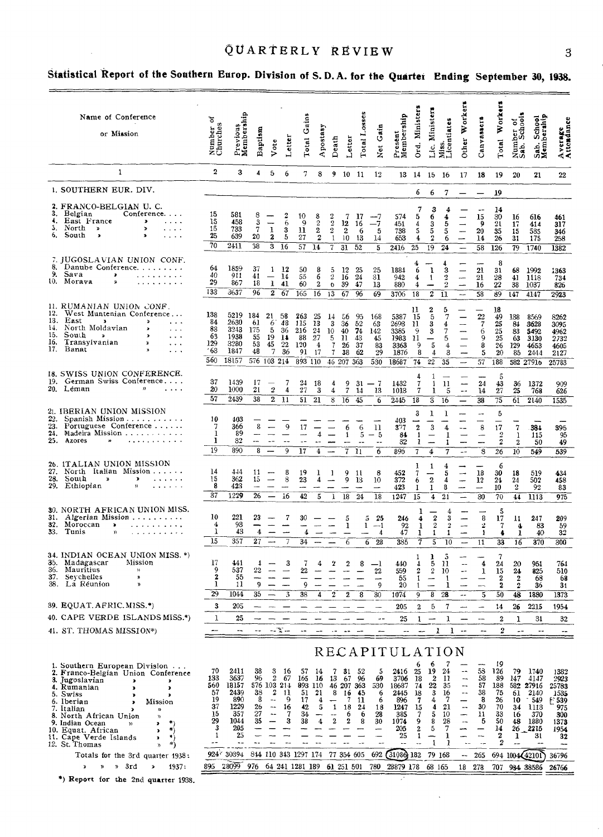## QUARTERLY REVIEW 3

 $\sim$ 

# Statistical Report of the Southern Europ. Division of S.D.A. for the Quarter Ending September 30, 1938.

|                   | Name of Conference<br>or Mission                                                                                                                                                                                                                                                           | ð<br>Number<br>Churches                        | Previous<br>Membership                                      | Baptism                                           | Vote                                                                                                                            | Letter                                | Gains<br>Total                                  | Apostasy                                                  | Death                                                          | Letter                                                           | Total L                                              | Net Gain                                   | Present<br>Membership                                                       | Ord. Ministers                                                     | Lic. Ministers                                             | Miss.<br>Licentiates                                   | Other Workers                                                                                                | Canvassers                                                           | Total Workers                                         | Number of<br>Sab. Schools                       | Sab. School<br>Membership                                           | Average<br>Attendance                                        |
|-------------------|--------------------------------------------------------------------------------------------------------------------------------------------------------------------------------------------------------------------------------------------------------------------------------------------|------------------------------------------------|-------------------------------------------------------------|---------------------------------------------------|---------------------------------------------------------------------------------------------------------------------------------|---------------------------------------|-------------------------------------------------|-----------------------------------------------------------|----------------------------------------------------------------|------------------------------------------------------------------|------------------------------------------------------|--------------------------------------------|-----------------------------------------------------------------------------|--------------------------------------------------------------------|------------------------------------------------------------|--------------------------------------------------------|--------------------------------------------------------------------------------------------------------------|----------------------------------------------------------------------|-------------------------------------------------------|-------------------------------------------------|---------------------------------------------------------------------|--------------------------------------------------------------|
|                   | 1                                                                                                                                                                                                                                                                                          | $\boldsymbol{2}$                               | 3                                                           | 4                                                 | 5                                                                                                                               | 6                                     | 7                                               | 8                                                         |                                                                | 9 10 11                                                          |                                                      | 12                                         |                                                                             | 13 14                                                              | 15 16                                                      |                                                        | 17                                                                                                           | 18                                                                   | 19                                                    | 20                                              | 21                                                                  | 22                                                           |
|                   | 1. SOUTHERN EUR. DIV.                                                                                                                                                                                                                                                                      |                                                |                                                             |                                                   |                                                                                                                                 |                                       |                                                 |                                                           |                                                                |                                                                  |                                                      |                                            |                                                                             | 6                                                                  | 6                                                          | 7                                                      |                                                                                                              |                                                                      | 19                                                    |                                                 |                                                                     |                                                              |
| 3.<br>6.          | 2. FRANCO-BELGIAN U. C.<br>Belgian<br>Conference.<br>4. East France<br>$\bullet$<br>$\sim$ $\sim$ $\sim$ $\sim$<br>5. North $\rightarrow$<br>$\rightarrow$<br>$\cdots$<br>South<br>$\blacktriangleright$<br>$\overline{\phantom{a}}$<br>.                                                  | 15<br>15<br>15<br>25<br>70                     | 581<br>458<br>733<br>639<br>2411                            | 8<br>$\frac{3}{7}$<br>20<br>$\overline{38}$       | $\mathbf{I}$<br>$\mathbf 2$<br>3                                                                                                | 6<br>3<br>5<br>16                     | 10<br>-9<br>11<br>27<br>$\overline{57}$         | 8<br>$\sqrt{2}$<br>$\mathbf{2}$<br>$\boldsymbol{2}$<br>14 | 2<br>$\,2\,$<br>$\,2\,$<br>$\mathbf{1}$<br>7                   | 7<br>12<br>$\boldsymbol{2}$<br>1013<br>$\overline{31}$           | -17<br>16<br>6<br>52                                 | --7<br>—7<br>5<br>14<br>$\overline{5}$     | 574<br>451<br>738<br>653<br>2416                                            | 5<br>$\frac{4}{5}$<br>4<br>25                                      | 3<br>6<br>$\frac{3}{5}$<br>19                              | 4<br>5<br>5<br>6<br>$\overline{24}$                    | $\overline{\phantom{0}}$<br>$\overline{\phantom{0}}$                                                         | $\sim$<br>15<br>9<br>20<br>14<br>$\overline{58}$                     | 14<br>30<br>21<br>35<br>26<br>126                     | 16<br>17<br>15<br>31<br>79                      | 616<br>414<br>535<br>175<br>1740                                    | 461<br>317<br>346<br>258<br>1382                             |
| 8.<br>9.<br>10.   | 7. JUGOSLAVIAN UNION CONF.<br>Danube Conference.<br>Sava<br>$\rightarrow$<br>. <b>.</b><br>Morava<br>×,<br>.                                                                                                                                                                               | 64<br>40<br>29                                 | 1859<br>911<br>867                                          | 37<br>41<br>18                                    | $\mathbf{1}$<br>$\overline{\phantom{0}}$<br>$1$ 41                                                                              | 12<br>14                              | 50<br>55<br>60                                  | 8<br>6<br>$\boldsymbol{2}$                                | 5<br>$\boldsymbol{2}$<br>$\ddot{\mathbf{o}}$                   | 12<br>16<br>39                                                   | 25<br>24<br>47                                       | 25<br>$\overline{31}$<br>13                | 1884<br>942<br>880                                                          | 6<br>4<br>4                                                        | 1<br>1                                                     | 3<br>$\frac{2}{2}$                                     | $\overline{\phantom{0}}$<br>$\overline{\phantom{a}}$<br>$\overline{\phantom{a}}$                             | 21<br>21<br>16                                                       | 8<br>31<br>28<br>22                                   | 68<br>41<br>38                                  | 1992<br>1118<br>1037                                                | 1363<br>734<br>826                                           |
|                   |                                                                                                                                                                                                                                                                                            | 133                                            | 3637                                                        | 96                                                | $\mathbf{2}$                                                                                                                    | 67                                    | 165                                             | 16                                                        | 13                                                             | 67                                                               | 96                                                   | 69                                         | 3706                                                                        | 18                                                                 | $\overline{2}$                                             | $\overline{11}$                                        | $\bar{a}$                                                                                                    | $\overline{58}$                                                      | 89                                                    | 147                                             | 4147                                                                | 2923                                                         |
| 12.<br>13.<br>15. | 11. RUMANIAN UNION CONF.<br>West Muntenian Conference<br>East<br>$\blacktriangleright$<br>$\mathbf{v}$<br>$\cdot$ $\cdot$ $\cdot$<br>14. North Moldavian<br>$\lambda$<br>$\cdots$<br>South<br>$\mathbf{v}$<br>×<br>16. Transylvanian<br>D<br>$\sim$ $\sim$ $\sim$<br>17. Banat<br>$\cdots$ | 138<br>84<br>83<br>63<br>129<br>63<br>560      | 5219<br>2630<br>3243<br>1938<br>3280<br>1847<br>18157       | 184<br>61<br>175<br>55<br>53<br>48<br>576 103 214 | 21<br>6<br>5<br>19<br>45<br>$\overline{7}$                                                                                      | 58<br>48<br>36<br>14<br>22<br>36      | 263<br>115<br>216<br>88<br>120<br>91<br>893 110 | 25<br>13<br>24<br>27<br>$\overline{4}$<br>17              | 14<br>3<br>$10^{\circ}$<br>5<br>7<br>$7^{\circ}$<br>46 207 363 | δ6<br>36<br>40<br>-11<br>26<br>38                                | 95<br>52<br>74<br>43<br>37<br>62                     | 168<br>63<br>142<br>45<br>83<br>29<br>530  | 5387<br>2693<br>3385<br>1983<br>3363<br>1876<br>18687                       | 11<br>15<br>11<br>-9<br>11<br>-9<br>8<br>74                        | 2<br>5<br>3<br>3<br>$\frac{1}{5}$<br>$\overline{4}$<br>22  | 5<br>7<br>4<br>7<br>5<br>$\overline{4}$<br>3<br>35     | $\frac{1}{1}$<br>$\overline{\phantom{0}}$                                                                    | $\frac{22}{7}$<br>6<br>9<br>8<br>5<br>57                             | 18<br>49<br>25<br>25<br>25<br>26<br>20<br>188         | 138<br>84<br>83<br>63<br>129<br>85              | 8569<br>3628<br>5492<br>3130<br>4653<br>2444<br>582 27916           | 8262<br>3095<br>4962<br>2732<br>4605<br>2127<br>25783        |
|                   | 18. SWISS UNION CONFERENCE.<br>19. German Swiss Conference<br>20. Leman<br>)<br>$\sim$ $\sim$ $\sim$ $\sim$                                                                                                                                                                                | 37<br>20<br>57                                 | 1439<br>1000<br>2439                                        | 17<br>21<br>38                                    | $\overline{2}$<br>$2\overline{11}$                                                                                              | 7<br>4                                | 24<br>27<br>51                                  | 18<br>3<br>21                                             | 4<br>4<br>8                                                    | $\frac{9}{7}$<br>$\overline{16}$                                 | 31<br>14<br>45                                       | $-7$<br>13<br>$\overline{6}$               | 1432<br>1013<br>2445                                                        | Ż<br>7<br>18                                                       | 1<br>$\mathbf{1}$<br>1<br>$\overline{s}$                   | $\mathbf{H}$<br>5<br>16                                | $\overline{\phantom{0}}$<br>$\sim$                                                                           | 24<br>14<br>38                                                       | 5<br>43<br>27<br>75                                   | 36<br>25<br>$\overline{61}$                     | 1372<br>768<br>2140                                                 | 909<br>626<br>1535                                           |
| 22.<br>25.        | 21. IBERIAN UNION MISSION<br>Spanish Mission<br>23. Portuguese Conference<br>24. Madeira Mission<br>Azores<br>$\boldsymbol{\varkappa}$<br>. <i>.</i> .                                                                                                                                     | 10<br>7<br>1<br>ı<br>19                        | 403<br>366<br>89<br>32<br>890                               | 8<br>--<br>8                                      | $- -$<br>$\overline{\phantom{a}}$                                                                                               | 9<br>9                                | 17<br>$-$<br>17                                 | 4<br>$\sim$ $-$<br>4                                      |                                                                | 6<br>1<br>7                                                      | 6<br>5<br>-11                                        | 11<br>$-5$<br>$-$<br>$\overline{6}$        | 403<br>377<br>84<br>32<br>896                                               | 3<br>$\boldsymbol{2}$<br>$\mathbf{1}$<br>1<br>$\overline{\tau}$    | 1<br>3<br>$\overline{\phantom{0}}$<br>$\boldsymbol{4}$     | 1<br>4<br>1<br>1<br>7                                  | --<br>$\overline{\phantom{0}}$<br>-<br>$- -$                                                                 | --<br>8<br>$\overline{\phantom{m}}$<br>$\overline{\phantom{a}}$<br>8 | 5<br>17<br>$\overline{2}$<br>$\boldsymbol{2}$<br>26   | $\sqrt{7}$<br>$\mathbf{1}$<br>$\mathbf 2$<br>10 | 384<br>115<br>50<br>549                                             | 395<br>95<br>49<br>539                                       |
|                   | 26. ITALIAN UNION MISSION<br>27. North Italian Mission<br>28. South<br>$\pmb{\varkappa}$<br>≯<br>$\mathbf{z}$ , and $\mathbf{z}$ , and $\mathbf{z}$<br>29. Ethiopian<br>y)<br>لأنتبذ والوالو                                                                                               | 14<br>15<br>8<br>37                            | 444<br>362<br>423<br>1229                                   | 11<br>15<br>$\overline{\phantom{0}}$<br>26        | $\overline{\phantom{m}}$                                                                                                        | 8<br>8<br>iб                          | 19<br>23<br>42                                  | 1<br>4<br>5                                               | -1<br>1                                                        | 9<br>9<br>18                                                     | -11<br>13<br>24                                      | 8<br>10<br>18                              | 452<br>372<br>423<br>1247                                                   | ı<br>7<br>6<br>1<br>15                                             | 1<br>$\boldsymbol{2}$<br>1<br>4                            | 4<br>5<br>4<br>8<br>21                                 | $\overline{\phantom{a}}$<br><u>L</u>                                                                         | 18<br>12<br>30                                                       | 6<br>30<br>21<br>10<br>70                             | 18<br>24<br>$\,2\,$<br>44                       | 519<br>502<br>92<br>1113                                            | 434<br>458<br>83<br>975                                      |
| 31.<br>32.<br>33. | 30. NORTH AFRICAN UNION MISS.<br>Algerian Mission<br>Moroccan<br>. . <i>.</i><br>$\ddot{ }$<br>Tunis<br>$\mathcal{V}$<br><u>.</u>                                                                                                                                                          | 10<br>4<br>1<br>15                             | 221<br>93<br>43<br>357                                      | 23<br>4<br>27                                     | $\overline{\phantom{a}}$                                                                                                        | 7<br>7                                | 30<br>4<br>34                                   |                                                           |                                                                | 5<br>1<br>$\overline{6}$                                         | 5<br>1<br>$\overline{\phantom{0}}$<br>$\overline{6}$ | 25<br>$-1$<br>4<br>28                      | 246<br>92<br>47<br>385                                                      | 4<br>1<br>1<br>Ť                                                   | $\boldsymbol{2}$<br>$\,2\,$<br>1<br>$\overline{5}$         | 4<br>3<br>$\,2$<br>1<br>10                             | $\overline{\phantom{0}}$<br>$\overline{\phantom{a}}$<br>$\overline{\phantom{0}}$<br>$\overline{\phantom{m}}$ | 8<br>2<br>1<br>11                                                    | 5<br>17<br>7<br>4<br>33                               | 11<br>4<br>1<br>$\overline{16}$                 | 247<br>83<br>40<br>370                                              | 209<br>59<br>32<br>300                                       |
| 36.               | 34. INDIAN OCEAN UNION MISS. *)<br>35. Madagascar<br>Mission<br>Mauritius<br>$\boldsymbol{\gamma}$<br>37. Seychelles<br>$\boldsymbol{\lambda}$<br>38. La Réunion                                                                                                                           | 17<br>9<br>$\overline{\mathbf{2}}$<br>ı<br>29  | 441<br>537<br>55<br>11<br>1044                              | 4<br>$22\,$<br>g<br>35                            |                                                                                                                                 | 3<br>3                                | 7<br>22<br>$\mathbf{o}$<br>38                   | 4<br>4                                                    | 2<br>2                                                         | 2<br>2                                                           | 8<br>8                                               | $-\mathbf{l}$<br>$^{22}$<br>9<br>30        | 440<br>559<br>55<br>20<br>1074                                              | 1<br>4<br>2<br>1<br>9                                              | ı<br>5<br>$\boldsymbol{2}$<br>-<br>8                       | 5<br>-11<br>-10<br>1<br>28                             | $\overline{a}$<br>$\ddotsc$<br>$\rightarrow$                                                                 | 4<br>$\mathbf{1}$<br>$\overline{\phantom{0}}$<br>5                   | 7<br>24<br>15<br>$\mathbf{2}$<br>$\mathbf 2$<br>50    | 20<br>24<br>$\mathbf{2}$<br>o<br>48             | 951<br>825<br>68<br>36<br>1880                                      | 764<br>510<br>68<br>31<br>1373                               |
|                   | 39. EQUAT. AFRIC. MISS.*)                                                                                                                                                                                                                                                                  | 3                                              | 205                                                         |                                                   |                                                                                                                                 |                                       |                                                 |                                                           |                                                                |                                                                  |                                                      |                                            | 205                                                                         | 2                                                                  | 5                                                          | 7                                                      |                                                                                                              |                                                                      | 14                                                    | 26                                              | 2215                                                                | 1954                                                         |
|                   | 40. CAPE VERDE ISLANDS MISS.*)                                                                                                                                                                                                                                                             | 1                                              | 25                                                          |                                                   |                                                                                                                                 |                                       |                                                 |                                                           |                                                                |                                                                  |                                                      |                                            | 25                                                                          | $\mathbf{1}$                                                       |                                                            | 1                                                      |                                                                                                              |                                                                      | 2                                                     | 1                                               | 31                                                                  | 32                                                           |
|                   | 41. ST. THOMAS MISSION*)                                                                                                                                                                                                                                                                   |                                                | ∽∼                                                          | --                                                | $-2 - 2 - 1$                                                                                                                    |                                       | --                                              |                                                           |                                                                |                                                                  |                                                      |                                            |                                                                             |                                                                    | 1                                                          | 1                                                      | --                                                                                                           |                                                                      | 2                                                     | $-1$                                            | $\sim$                                                              | $-1$                                                         |
|                   | 1. Southern European Division<br>2. Franco-Belgian Union Conference<br>3. Jugoslavian<br>э<br>4. Rumanian<br>×<br>5. Swiss<br>,<br>6. Iberian<br>Mission<br>,<br>7. Italian<br>D)<br>8. North African Union<br>$\mathcal{Y}$<br>*)<br>9. Indian Ocean<br>,<br>$\mathcal{V}$                | 70<br>133<br>560<br>57<br>19<br>37<br>15<br>29 | 2411<br>3637<br>18157<br>2439<br>890<br>1229<br>357<br>1044 | 38<br>96<br>38<br>8<br>26<br>27<br>35             | 3<br>$\overline{2}$<br>576 103 214<br>$\boldsymbol{2}$<br>$\overline{\phantom{a}}$<br>$\sim$ $\sim$<br>$\overline{\phantom{a}}$ | -16<br>67<br>-11<br>9<br>16<br>7<br>3 | 57<br>165<br>893<br>51<br>17<br>42<br>34<br>38  | 14<br>16<br>110<br>21<br>4<br>5<br>4                      | 7<br>13<br>8<br>1<br>$\bf 2$                                   | 31<br>67<br>46 207 363<br>16<br>7<br>18<br>6<br>$\boldsymbol{2}$ | 52<br>96<br>- 45<br>11<br>24<br>6<br>8               | 5<br>69<br>530<br>6<br>6<br>18<br>28<br>30 | RECAPITULATI<br>2416<br>3706<br>18687<br>2445<br>896<br>1247<br>385<br>1074 | 6<br>25<br>18<br>74<br>18<br>$\overline{7}$<br>$\frac{15}{7}$<br>9 | 6<br>19<br>$\boldsymbol{2}$<br>22<br>3<br>4<br>4<br>5<br>8 | ΟN<br>7<br>24<br>11<br>35<br>16<br>7<br>21<br>10<br>28 | $-$<br>-4<br>--<br>$\overline{\phantom{a}}$<br>$\overline{\phantom{a}}$<br>-<br>$-$                          | 58<br>58<br>57<br>38<br>8<br>30<br>и<br>5                            | -19<br>126<br>89<br>188<br>75<br>26<br>70<br>33<br>50 | 79<br>147<br>61<br>10<br>34<br>16<br>48         | 1740<br>4147<br>582 27916<br>-2140<br>- 549<br>-1113<br>370<br>1880 | 1382<br>2923<br>25783<br>1535<br>₹ 539<br>975<br>300<br>1373 |
|                   | $^{*}$<br>10. Equat. African<br>$\lambda$<br>$\left\vert \cdot\right\rangle$<br>11. Cape Verde Islands<br>$\blacktriangleright$<br>12. St. Thomas<br>*)                                                                                                                                    | 3<br>1<br>                                     | 205<br>25<br>$\overline{\phantom{a}}$                       | $\ddotsc$                                         | $\overline{\phantom{a}}$                                                                                                        | ۵.                                    | --                                              | --                                                        | --                                                             | $- -$                                                            | $\overline{a}$                                       | --<br>-<br>$\overline{a}$                  | 205<br>25<br>$-$                                                            | 2<br>1<br>$\ddotsc$                                                | 5<br>-<br>$\mathbf{1}$                                     | 7<br>ı<br>1                                            | ÷<br>-<br>$\ddotsc$                                                                                          | $\overline{\phantom{a}}$                                             | 14<br>$\overline{\mathbf{2}}$<br>2                    | 26<br>ı<br>--                                   | 2215<br>31<br>$-$                                                   | 1954<br>32                                                   |
|                   | Totals for the 3rd quarter 1938:                                                                                                                                                                                                                                                           |                                                | 924'30394                                                   |                                                   |                                                                                                                                 |                                       | 844 110 343 1297 174                            |                                                           |                                                                | 77 354 605                                                       |                                                      | 692                                        | $(31080)$ 182                                                               |                                                                    | 79 168                                                     |                                                        | --                                                                                                           | 265                                                                  |                                                       | 694 1004 42101                                  |                                                                     | 36796                                                        |
|                   | » 3rd<br>ď<br>1937:<br>D<br>×,<br>*) Report for the 2nd quarter 1938.                                                                                                                                                                                                                      | 895                                            | 28099                                                       | 976                                               |                                                                                                                                 |                                       | 64 241 1281 189                                 |                                                           | 61 251 501                                                     |                                                                  |                                                      | 780                                        | 28879 178                                                                   |                                                                    | 68 165                                                     |                                                        | 18                                                                                                           | 278                                                                  | 707                                                   | 984 38586                                       |                                                                     | 26766                                                        |

 $\overline{\phantom{a}}$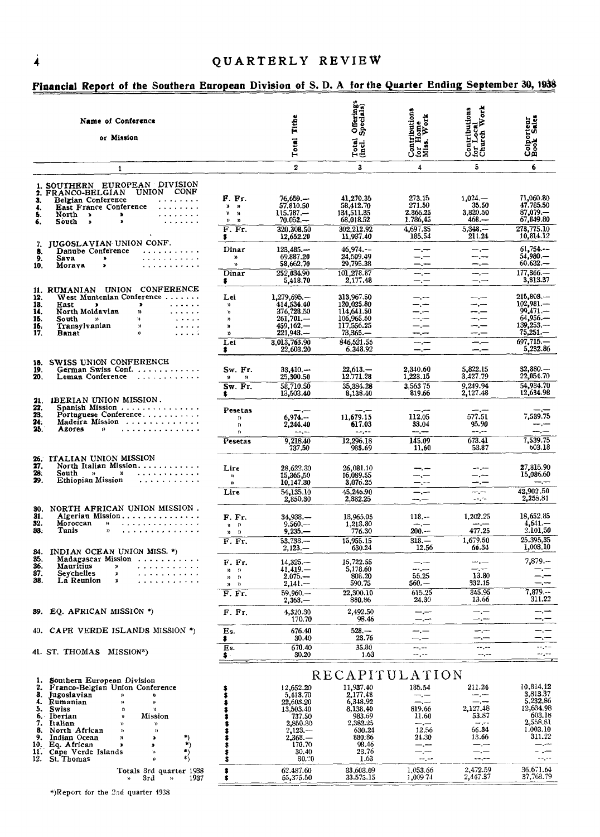|                                          | Name of Conference<br>or Mission                                                                                                                                                                                                                                                                                                                                                                                                                                                                                                                                                                           |                                                                                                            | Tithe<br><b>Total</b>                                                                                                                       | Offerings<br>Specials)<br>Total<br>(incl. )                                                                                                          | Contributions<br>for Home<br>Miss. Work                                                                           | ă<br>Contributions<br>for Local<br>Church Work                                                                           | Colporteur<br>Book Sales                                                                                                                |
|------------------------------------------|------------------------------------------------------------------------------------------------------------------------------------------------------------------------------------------------------------------------------------------------------------------------------------------------------------------------------------------------------------------------------------------------------------------------------------------------------------------------------------------------------------------------------------------------------------------------------------------------------------|------------------------------------------------------------------------------------------------------------|---------------------------------------------------------------------------------------------------------------------------------------------|------------------------------------------------------------------------------------------------------------------------------------------------------|-------------------------------------------------------------------------------------------------------------------|--------------------------------------------------------------------------------------------------------------------------|-----------------------------------------------------------------------------------------------------------------------------------------|
|                                          | $\mathbf{1}$                                                                                                                                                                                                                                                                                                                                                                                                                                                                                                                                                                                               |                                                                                                            | $\overline{2}$                                                                                                                              | 3                                                                                                                                                    | 4                                                                                                                 | 5                                                                                                                        | 6                                                                                                                                       |
| 3.<br>4.<br>Ъ.<br>6.                     | 1. SOUTHERN EUROPEAN DIVISION<br>UNION CONF<br>2. FRANCO-BELGIAN<br>Belgian Conference<br>$\label{eq:reduced} \begin{array}{lllllllllllllll} \bullet & \bullet & \bullet & \bullet & \bullet & \bullet & \bullet \end{array} \bullet \quad \bullet \quad \bullet \quad \bullet \quad \bullet$<br>East France Conference<br>$\mathcal{L}$ is a set of the set of $\mathcal{L}$<br>North ><br>ъ.<br>$\sim$<br>South<br>$\mathbf{r}$<br>$\rightarrow$                                                                                                                                                         | F. Fr.<br>$\pmb{\ast}$<br>$\mathbf{v}$<br>n<br>$\mathbf{n}$<br>$\boldsymbol{\mathcal{Y}}$<br>n<br>$F.$ Fr. | 76,659<br>57.810.50<br>$115.787-$<br>$70.052 -$<br>320.308.50                                                                               | 41,270.35<br>58,412.70<br>134,511.35<br>68,018.52<br>302.212.92                                                                                      | 273.15<br>271.50<br>2.366.25<br>1.786,45<br>4,697,35                                                              | $1,024-$<br>35.50<br>3,820.50<br>$468 -$<br>$5.348 -$                                                                    | 71,060.80<br>47.785.50<br>87,079.-<br>67,849.80<br>273,775,10                                                                           |
| 7.<br>8.<br>9.<br>10.                    | JUGOSLAVIAN UNION CONF.<br>Danube Conference<br><u>.</u><br>.<br>Sava<br>$\ddot{\phantom{1}}$<br>.<br>Morava<br>$\bullet$                                                                                                                                                                                                                                                                                                                                                                                                                                                                                  | \$<br>Dinar<br>n<br>Y)<br>Dinar                                                                            | 12,652.20<br>123,485<br>69.887.20<br>58,662.70<br>252,034.90                                                                                | 11,937.40<br>46,974.--<br>24,509.49<br>29,795.38<br>101,278.87                                                                                       | 185.54<br>$-,-$<br>$-,-$<br>—.—<br>$-$ , $-$                                                                      | 211.24<br>— <b>—</b><br>--.--<br>---<br>$-,-$                                                                            | 10,814.12<br>61,754<br>$54,980-$<br>$60.632 -$<br>$177,366-$                                                                            |
| 12.<br>13.<br>14.<br>15.<br>16.<br>17.   | 11. RUMANIAN UNION CONFERENCE<br>West Muntenian Conference<br>$\ldots$<br>East<br>$\bullet$<br>$\bullet$<br>North Moldavian<br>$\mathbf{r}$ is a second set of $\mathbf{r}$<br>n<br>South<br>$\sim$ $\sim$ $\sim$ $\sim$ $\sim$<br>$\mathbf{D}$<br>$\lambda$<br>Transylvanian<br>المتعاطف والمنابذ<br>$\mathbf{y}$<br>$\sim$ $\sim$ $\sim$ $\sim$ $\sim$<br>Banat<br>$\mathbf{n}$                                                                                                                                                                                                                          | \$.<br>Lei<br>$\mathfrak{D}$<br>$\mathfrak{p}$<br>n<br>Y)<br>n<br>Lei<br>\$                                | 5,418.70<br>$1,279,695. -$<br>414,534.40<br>376,728.50<br>$261,701-$<br>459,162.—<br>$221,943-$<br>3,013,763.90<br>22,603.20                | 2,177.48<br>313,967.50<br>120,025.80<br>114,641.50<br>106,965.50<br>117,556.25<br>$73.365-$<br>846,521.55<br>6.348.92                                | $-,-$<br>—.—<br>—.—<br>-.-<br>سبر م<br>—,—<br>--.--<br>$-$<br>—,—                                                 | $-$ . $-$<br>سندرست<br>---<br>---<br>m., m<br>--.--<br>----<br>$-,-$<br>—,—                                              | 3,813.37<br>$215,803-$<br>$102,981-$<br>99,471.-<br>$64,956-$<br>139,253<br>$75,251-$<br>$697.715 -$<br>5,232.86                        |
| 18.<br>19.<br>20.                        | SWISS UNION CONFERENCE<br>German Swiss Conf.<br>Leman Conference                                                                                                                                                                                                                                                                                                                                                                                                                                                                                                                                           | Sw. Fr.<br>Y.<br>$\mathbf{v}$<br>Sw. Fr.<br>\$.                                                            | $33.410 -$<br>25,300.50<br>58,710.50<br>13,503.40                                                                                           | $22,613-$<br>12.771.28<br>35,384.28<br>8,138.40                                                                                                      | 2,340.60<br>1,223.15<br>3,56375<br>819.66                                                                         | 5,822.15<br>3,427.79<br>9,249.94<br>2,127.48                                                                             | $32,880-$<br>22,054.70<br>54,934.70<br>12,634.98                                                                                        |
| 21.<br>22.<br>23.<br>24.<br>25.          | IBERIAN UNION MISSION.<br>Spanish Mission<br>Portuguese Conference<br>Madeira Mission<br>.<br>Azores<br>$\mathcal{D}$                                                                                                                                                                                                                                                                                                                                                                                                                                                                                      | Pesetas<br>$\boldsymbol{\mathcal{V}}$<br>n<br>y)<br>Pesetas                                                | حسن حسب<br>6.974<br>2,244.40<br>$-1$<br>9,218.40                                                                                            | سندر ست<br>11,679.15<br>617.03<br>$-2$<br>12,296.18                                                                                                  | 112.05<br>33.04<br>$-$ , $-$<br>145.09                                                                            | 577.51<br>95.90<br>$---,---$<br>673.41                                                                                   | 7,539.75<br>مسدر منتم<br>7,539.75                                                                                                       |
| 26.<br>27.<br>28.<br>29.                 | ITALIAN UNION MISSION<br>North Italian Mission.<br>$\mathcal{D}$<br>South<br>$\rightarrow$<br>Ethiopian Mission                                                                                                                                                                                                                                                                                                                                                                                                                                                                                            | Lire<br>$\mathbf{v}$<br>Y)<br>Lire                                                                         | 737.50<br>28,622.30<br>15,365,50<br>10,147.30<br>54,135.10                                                                                  | 985.69<br>26,081.10<br>16,089.55<br>3,076.25<br>45,246.90                                                                                            | 11.60<br>---<br>—.—<br>--.--<br>$-,-$                                                                             | 53.87<br>للمرحب<br>---<br>--.--<br>$\overline{a}$                                                                        | 603.18<br>27,815.90<br>15,086.60<br>42,902.50<br>2,255.81                                                                               |
| 30.<br>31.<br>52.<br>33.                 | NORTH AFRICAN UNION MISSION.<br>Algerian Mission<br>Moroccan<br>.<br>$\mathbf{v}$<br>. <i>.</i> .<br>Tunis<br>n                                                                                                                                                                                                                                                                                                                                                                                                                                                                                            | F. Fr.<br>$n - n$<br>$\mathbf{u}$<br>$\mathfrak{p}$<br>$\overline{F}$ . Fr.                                | 2,850.30<br>$34,938-$<br>$9.560 -$<br>$9,235,-$<br>53.733                                                                                   | 2,382.25<br>13,965.05<br>1,213,80<br>776.30<br>15,955.15                                                                                             | --.-<br>$118. - -$<br>$ -$<br>$200--$<br>$318. -$                                                                 | unijne<br>1,202.25<br>مسرحما<br>477.25<br>1,679.50<br>66.34                                                              | 18,652.85<br>$4,641-$<br>2.101,50<br>25.395,35<br>1,003.10                                                                              |
| 34.<br>35.<br>36.<br>37.<br>38.          | INDIAN OCEAN UNION MISS. *)<br>Madagascar Mission<br>Mauritius<br>$\lambda$<br>Seychelles<br>$\mathbf{1} \quad \mathbf{1} \quad \mathbf{2} \quad \mathbf{3} \quad \mathbf{4} \quad \mathbf{5} \quad \mathbf{5} \quad \mathbf{6} \quad \mathbf{7} \quad \mathbf{8} \quad \mathbf{9} \quad \mathbf{1} \quad \mathbf{1} \quad \mathbf{1} \quad \mathbf{1} \quad \mathbf{1} \quad \mathbf{1} \quad \mathbf{1} \quad \mathbf{1} \quad \mathbf{1} \quad \mathbf{1} \quad \mathbf{1} \quad \mathbf{1} \quad \mathbf{1} \quad \mathbf{1} \quad \mathbf{1} \quad \mathbf{1} \quad \mathbf{$<br>×<br>La Reunion<br>× | F. Fr.<br>$n - n$<br>n<br>$\mathbf{v}$<br>$n - n$<br>F. Fr.                                                | $2,123-$<br>14,325<br>41,419.<br>$2.075 -$<br>$2,141-$<br>$59,960-$<br>2,368.—                                                              | 630.24<br>15,722.55<br>5,178.60<br>808.20<br>590.75<br>22,300.10<br>880.86                                                                           | 12.56<br>—.—<br>نندر منذ<br>55.25<br>$560 -$<br>615.25<br>24.30                                                   | $-,-$<br>سدرت<br>13.80<br>332.15<br>345.95<br>13.66                                                                      | $7,879-$<br>—.—<br>$7.879--$<br>311.22                                                                                                  |
|                                          | 39. EQ. AFRICAN MISSION *)                                                                                                                                                                                                                                                                                                                                                                                                                                                                                                                                                                                 | F. Fr.                                                                                                     | 4,320.30<br>170.70                                                                                                                          | 2,492.50<br>98.46                                                                                                                                    | ----<br>---                                                                                                       | ---<br>—.—                                                                                                               | —.,—<br>-.—                                                                                                                             |
| 40.                                      | CAPE VERDE ISLANDS MISSION $*$ )                                                                                                                                                                                                                                                                                                                                                                                                                                                                                                                                                                           | Es.<br>\$                                                                                                  | 676.40<br>30.40                                                                                                                             | 528.—<br>23.76                                                                                                                                       | — <u>—</u>                                                                                                        | ---<br>— <b>, —</b>                                                                                                      |                                                                                                                                         |
| 2.<br>З.<br>7.<br>8.<br>9.<br>10.<br>12. | 41. ST. THOMAS MISSION*)<br>Southern European Division<br>1.<br>Franco-Belgian Union Conference<br>Jugoslavian<br>n<br>n<br>4. Rumanian<br>n<br>n<br>5.<br>Swiss<br>y)<br>$\lambda$<br>Mission<br>6. Iberian<br>Ħ<br>Italian<br>>><br>»<br>North African<br>$\mathcal{D}$<br>$) \tag{1.1}$<br>Indian Ocean<br>٠,<br>n<br>$\pmb{\ast}$<br>*)<br>Eq. Atrican<br>×<br>,<br>*)<br>11. Cape Verde Islands<br>$\mathcal{D}$<br>*)<br>St. Thomas<br>n                                                                                                                                                             | Es.<br>\$.<br>\$<br>\$<br>\$<br>\$<br>\$<br>\$<br>\$                                                       | 670.40<br>30.20<br>12,652.20<br>5,418.70<br>22,603.20<br>13,503.40<br>737.50<br>2,850.30<br>$2,123-$<br>2,368.—<br>170.70<br>30.40<br>30.20 | 35.80<br>1.63<br>RECAPITULATION<br>11,937.40<br>2,177.48<br>6,348.92<br>8,138.40<br>983.69<br>2,382.25<br>630.24<br>880.86<br>98.46<br>23.76<br>1.63 | --.--<br>--.--<br>185.54<br>$-,-$<br>$-,-$<br>819.66<br>11.60<br>نسان سند<br>12,56<br>24.30<br>—.—<br>—,—<br>$-1$ | --,--<br>$\rightarrow$<br>211.24<br>---<br>—.—<br>2,127.48<br>53.87<br>$-1$<br>66.34<br>13.66<br>—.—<br>$-,-$<br>$--,--$ | ----<br>بالرباء<br>10,814.12<br>3,813.37<br>5,232.86<br>12,634.98<br>603.18<br>2,558.81<br>1.003.10<br>311.22<br>—.—<br>- .-<br>$-1.77$ |

### Financial Report of the Southern European Division of S. D. A for the Quarter Ending September 30, 1938

\*)Report for the 2sd quarter 1938

Totals 3rd quarter 1938

 $\frac{1}{\cdot}$ 

62.487.60<br>55,375.50

 $1,053.66$ <br> $1,009$  74

 $33,603.09$ <br> $33.575.15$ 

 $\frac{2,472.59}{2,447.37}$ 

 $\frac{\overline{a} + \overline{b}}{\overline{a} + \overline{b}}$  $\frac{36.671.64}{37,763.79}$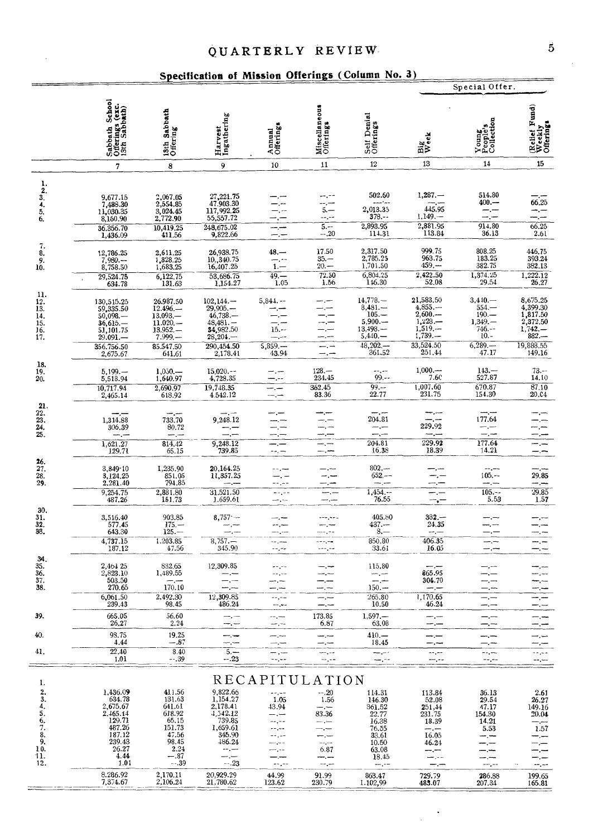### QUARTERLY REVIEW

### Specification of Mission Offerings (Column No. 3)

|                                                                |                                                                                               |                                                                                           |                                                                                              |                                                                                         |                                                           | Specification of Mission Offerings (Column No. 5)                                            |                                                                                                           | Special Offer.                                                                 |                                                                                  |
|----------------------------------------------------------------|-----------------------------------------------------------------------------------------------|-------------------------------------------------------------------------------------------|----------------------------------------------------------------------------------------------|-----------------------------------------------------------------------------------------|-----------------------------------------------------------|----------------------------------------------------------------------------------------------|-----------------------------------------------------------------------------------------------------------|--------------------------------------------------------------------------------|----------------------------------------------------------------------------------|
|                                                                | Sabbath School<br>Offerings (exc.<br>13th Sabbath)                                            | 13th Sabbath<br>Offering                                                                  | Harvest<br>Ingathering                                                                       | Annual<br>Offerings                                                                     | Miscellaneous<br>Offerings                                | Self Denial<br>Offerings                                                                     | Big<br>Week                                                                                               | Young<br>People's<br>Collection                                                | (Relief Fund)<br>Weekly<br>Offerings                                             |
|                                                                | $\overline{7}$                                                                                | 8                                                                                         | 9                                                                                            | 10                                                                                      | 11                                                        | 12                                                                                           | 13                                                                                                        | 14                                                                             | 15                                                                               |
| $\frac{1}{2}$<br>$\frac{3}{4}$<br>5.<br>6.                     | 9,677.15<br>7,488.30<br>11,030.35<br>8,160.90<br>36.356.70<br>1,436.09                        | 2,067.05<br>2,554.85<br>3,024.45<br>2,772.90<br>10,419.25<br>411.56                       | 27, 221.75<br>47.903.30<br>117,992.25<br>55,557.72<br>248,675.02<br>9,822.66                 | —.—<br>-. --<br>–.−<br>--                                                               | --,--<br>$\overline{5}$<br>--,--<br>$5 -$<br>$-.20$       | 502.60<br>---*--<br>2,013.35<br>$378. - -$<br>2,893.95<br>114.31                             | $1,287. -$<br>445.95<br>$1,149. -$<br>2,881.95<br>113.84                                                  | 514.80<br>$400 -$<br>$-$ . $-$<br>—,—<br>914.80<br>36.13                       | 66.25<br>66.25<br>2.61                                                           |
| 7.<br>8.<br>$\frac{9}{10}$ .                                   | 12,786.25<br>$7,980-$<br>8,758.50<br>29,524.75<br>634.78                                      | $\begin{array}{c} 2,611.25 \\ 1,828.25 \\ 1,683.25 \end{array}$<br>$6,122.75$<br>131.63   | $26,938.75$<br>$10,340.75$<br>16,407.25<br>53,686.75<br>1,154.27                             | $48 -$<br>—. --<br>$1 -$<br>$49 -$<br>1.05                                              | 17.50<br>$35 -$<br>$20 -$<br>72.50<br>1.56                | 2,317.50<br>2,785.25<br>1,701.50<br>6,804.25<br>146.30                                       | 999.75<br>963.75<br>459.—<br>2,422.50<br>52.08                                                            | $\begin{array}{c} 808.25 \\ 183.25 \\ 382.75 \end{array}$<br>1,374.25<br>29.54 | 446.75<br>393.24<br>382.13<br>1,222.12<br>26,27                                  |
| 11.<br>$\frac{12}{13}$ .<br>14.<br>$\frac{15}{16}$<br>17.      | 130,515.25<br>59,335.50<br>$50,098$ . —<br>$36,615-$<br>51,101.75<br>29.091.—<br>356.756.50   | 26.987.50<br>$12.496 -$<br>13.093.<br>$11.020 -$<br>$13.952. -$<br>$7.999 -$<br>85.547.50 | $102.144-$<br>29,905.<br>$46,738-$<br>$48,481-$<br>34,982.50<br>28,204.<br>290,454.50        | $5,844. -$<br>-.-<br>—.—<br>$15 -$<br>مترسد<br>5,859.                                   |                                                           | $14,778-$<br>$8,481-$<br>$105. -$<br>5,900.<br>13,498<br>$5,440,-$<br>$48,202, -2$<br>361.52 | $\begin{array}{r} 21,583.50 \\ 4,855. - \\ 2,600. - \end{array}$<br>$1,228-1,519-$<br>1,739.<br>33,524.50 | $3,410-$<br>$554 -$<br>$190 -$<br>$1,349. -$<br>746.--<br>$10. -$<br>$6,289-$  | 8,675.25<br>4,399.30<br>1,817.50<br>2,372.50<br>$1,742-$<br>$882 -$<br>19,888.55 |
| 18.<br>19.<br>20.                                              | 2,675.67<br>$5,199. -$<br>5,518.94<br>10,717.94<br>2,465.14                                   | 641.61<br>$1,050, -$<br>1,640.97<br>2,690.97<br>618.92                                    | 2,178.41<br>$15,020--$<br>4,728.35<br>19,748.35<br>4.542.12                                  | 43.94<br>—.—<br>–.−-<br>∽.−<br>--                                                       | $128 -$<br>234.45<br>362.45<br>83.36                      | --.--<br>$99. - -$<br>$99 -$<br>22.77                                                        | 251.44<br>1,000<br>7.6C<br>1,007.60<br>231.75                                                             | 47.17<br>$143. -$<br>527.87<br>670.87<br>154.30                                | 149.16<br>$73. - -$<br>14.10<br>87.10<br>20.04                                   |
| 21.<br>22.<br>$\frac{23}{24}$<br>25.                           | 1,314.88<br>306.39<br>$\frac{1,621.27}{129.71}$                                               | 733.70<br>80.72<br>814.42                                                                 | 9,248.12<br>9,248.12                                                                         | —.—<br>--.-<br>—.—                                                                      |                                                           | --.-<br>204.81<br>$-,-$<br>204.81                                                            | 229.92<br>229.92                                                                                          | 177.64<br>— , —<br>177.64                                                      | -.—                                                                              |
| 26.<br>$\frac{27}{28}$<br>29.                                  | 3,849 10<br>3,124.25<br>2.281.40<br>9,254.75                                                  | 65.15<br>1,235.90<br>851.95<br>794.85<br>2,881.80                                         | 739.85<br>20,164.25<br>11,357.25<br>31.521.50                                                | $-$ - $-$<br>--,--<br>—. —<br>- مراء -<br>--,--                                         | —, —                                                      | 16.38<br>$802 -$<br>$652 --$<br>ma <sub>r</sub> am<br>$\frac{1,454,-1}{76.55}$               | 18.39                                                                                                     | 14.21<br>$- - - -$<br>$105. -$<br>--.--<br>$\frac{105}{5.53}$                  | -.--<br>29.85<br>سندرجت<br>29.85                                                 |
| $\frac{30}{31}$ .<br>32.<br>33.                                | 487.26<br>3,516.40<br>577.45<br>643.30<br>4,737.15                                            | 151.73<br>903.85<br>$175 -$<br>$125 -$<br>1.203.85                                        | 1.659.61<br>$8,757 -$<br>— ,—<br>$8,757-$                                                    | —,~<br>--.---<br>--.--<br>ma, mu                                                        | ---.--<br>$--,--$                                         | 405.80<br>$437 -$<br>$8 -$<br>850.80                                                         | —,—<br>$382 -$<br>24.35<br>--.--<br>406.35                                                                | -. ---<br>$-,-$                                                                | 1.57                                                                             |
| 34.<br>35.<br>$\frac{36}{37}$ .<br>38.                         | 187.12<br>2,464 25<br>2,823.10<br>503.50<br>270.65<br>6,061.50                                | 47.56<br>832.65<br>1,489.55<br>$- -$<br>170.10<br>2,492.30                                | 345.90<br>12,309.85<br>----<br>— . —<br>12,309.85                                            | magne<br>mm, mm<br>--.--<br>--,--                                                       | ممرمسة                                                    | 33.61<br>115,80<br>∽.−<br>$150 -$<br>265.80                                                  | 16.05<br>865.95<br>304.70<br>--.--<br>1,170.65                                                            | — . —<br>---<br>—.—<br>$-,-$                                                   | —.—                                                                              |
| 39.                                                            | 239.43<br>665.05                                                                              | 98.45<br>56.60                                                                            | 486.24<br>—,—                                                                                | --,--<br>--.--                                                                          | —.—<br>173.85                                             | 10.50<br>$1,597. -$ 63.08                                                                    | 46.24<br>—.—                                                                                              | --.--<br>—.—                                                                   |                                                                                  |
| 40.                                                            | 26,27<br>98.75<br>4.44                                                                        | 2.24<br>19.25<br>$-.87$                                                                   | —, —                                                                                         | mm <sub>1</sub> mm<br>--.--                                                             | 6.87<br>--.--                                             | $410 -$<br>18.45                                                                             | $-,-$<br>⊸.—                                                                                              | —,—<br>--.---                                                                  |                                                                                  |
| 41,                                                            | 22.40<br>1.01                                                                                 | 8.40<br>--.39                                                                             | حبرسا<br>$5, -$<br>$-.23$                                                                    | —.—<br>$-$ , $-$<br>--,--                                                               | ⊸.⊸<br>---<br>-----                                       | --.--<br>—,--                                                                                | ----<br>$\cdots$<br>--.-                                                                                  | $-$ . $-$<br>--,--<br>--,--                                                    | للمرب<br>--                                                                      |
| I.<br>2.<br>3.<br>4.<br>5.<br>$\frac{6}{7}$<br>8.<br>9.<br>10. | 1,436.09<br>634.78<br>2,675.67<br>$2,465.14$<br>129.71<br>487.26<br>187.12<br>239.43<br>26.27 | 411.56<br>131.63<br>641.61<br>618.92<br>$65.15$<br>$151.73$<br>47.56<br>98.45<br>2.24     | $9,\!822.66 \\ 1,\!154.27$<br>2,178.41<br>4,542.12<br>739.85<br>1,659.61<br>345.90<br>486.24 | RECAPITULATION<br>$-1$<br>1.05<br>43.94<br>me <sub>n</sub> me<br>--,--<br>--.--<br>--.- | $-.20$<br>1.56<br>---<br>83.36<br>سمي سب<br>مبرحم<br>6.87 | 114.31<br>146.30<br>361.52<br>22.77<br>16.38<br>76.55<br>33.61<br>10.50<br>63.08             | 113.84<br>52.08<br>251,44<br>231.75<br>18.39<br>--.--<br>16.05<br>46.24<br>--.--                          | 36.13<br>29.54<br>47.17<br>154.30<br>14.21<br>5.53<br><b>سب</b> –              | 2.61<br>26.27<br>149.16<br>20.04<br>1.57                                         |
| 11.<br>12.                                                     | 4.44<br>1.01<br>8.286.92<br>7,374.67                                                          | $-.87$<br>$-.39$<br>2,170.11<br>2,106.24                                                  | $-.23$<br>20,929.29<br>21,780.62                                                             | -- ,--<br>44.99<br>123.62                                                               | --.--<br>91.99<br>230.79                                  | 18.45<br>863.47<br>I.102,99                                                                  | --.-<br>729.79<br>483.07                                                                                  | --.-<br>286.88<br>207.34                                                       | -.--<br>199.65<br>165.81                                                         |

 $\ddot{\phantom{1}}$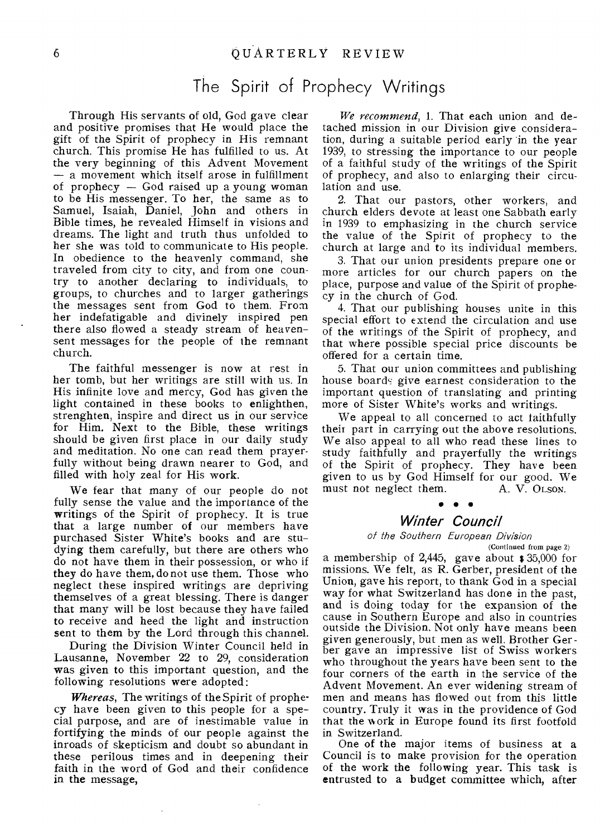## The Spirit of Prophecy Writings

Through His servants of old, God gave clear and positive promises that He would place the gift of the Spirit of prophecy in His remnant church. This promise He has fulfilled to us. At the very beginning of this Advent Movement — a movement which itself arose in fulfillment of prophecy — God raised up a young woman to be His messenger. To her, the same as to Samuel, Isaiah, Daniel, John and others in Bible times, he revealed Himself in visions and dreams. The light and truth thus unfolded to her she was told to communicate to His people. In obedience to the heavenly command, she traveled from city to city, and from one country to another declaring to individuals, to groups, to churches and to larger gatherings the messages sent from God to them. Frorn her indefatigable and divinely inspired pen there also flowed a steady stream of heavensent messages for the people of the remnant church.

The faithful messenger is now at rest in her tomb, but her writings are still with us. In His infinite love and mercy, God has given the light contained in these books to enlighthen, strenghten, inspire and direct us in our service for Him. Next to the Bible, these writings should be given first place in our daily study and meditation. No one can read them prayerfully without being drawn nearer to God, and filled with holy zeal for His work.

We fear that many of our people do not fully sense the value and the importance of the writings of the Spirit of prophecy. It is true that a large number of our members have purchased Sister White's books and are studying them carefully, but there are others who do not have them in their possession, or who if they do have them, do not use them. Those who neglect these inspired writings are depriving themselves of a great blessing. There is danger that many will be lost because they have failed to receive and heed the light and instruction sent to them by the Lord through this channel.

During the Division Winter Council held in Lausanne, November 22 to 29, consideration was given to this important question, and the following resolutions were adopted:

*Whereas,* The writings of the Spirit of prophecy have been given to this people for a special purpose, and are of inestimable value in fortifying the minds of our people against the inroads of skepticism and doubt so abundant in these perilous times and in deepening their faith in the word of God and their confidence in the message,

*We recommend,* 1. That each union and detached mission in our Division give consideration, during a suitable period early in the year 1939, to stressing the importance to our people of a faithful study of the writings of the Spirit of prophecy, and also to enlarging their circulation and use.

2. That our pastors, other workers, and church elders devote at least one Sabbath early in 1939 to emphasizing in the church service the value of the Spirit of prophecy to the church at large and to its individual members.

3. That our union presidents prepare one or more articles for our church papers on the place, purpose and value of the Spirit of prophecy in the church of God.

4. That our publishing houses unite in this special effort to extend the circulation and use of the writings of the Spirit of prophecy, and that where possible special price discounts be offered for a certain time.

5. That our union committees and publishing house boards give earnest consideration to the important question of translating and printing more of Sister White's works and writings.

We appeal to all concerned to act faithfully their part in carrying out the above resolutions. We also appeal to all who read these lines to study faithfully and prayerfully the writings of the Spirit of prophecy. They have been given to us by God Himself for our good. We<br>must not neglect them. A. V. OLSON. must not neglect them. ...<br>• • •

### *Winter Council*

#### of the Southern European Division

(Continued from page 2) a membership of 2,445, gave about \$ 35,000 for missions. We felt, as R. Gerber, president of the Union, gave his report, to thank God in a special way for what Switzerland has done in the past, and is doing today for the expansion of the cause in Southern Europe and also in countries outside the Division. Not only have means been given generously, but men as well. Brother Ger ber gave an impressive list of Swiss workers who throughout the years have been sent to the four corners of the earth in the service of the Advent Movement. An ever widening stream of men and means has flowed out from this little country. Truly it was in the providence of God that the work in Europe found its first footfold in Switzerland.

One of the major items of business at a Council is to make provision for the operation of the work the following year. This task is entrusted to a budget committee which, after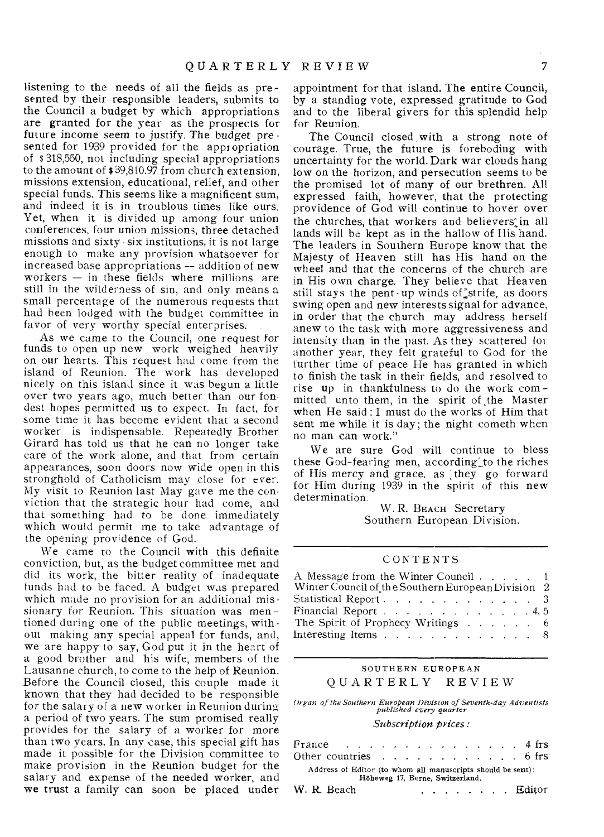listening to the needs of all the fields as presented by their responsible leaders, submits to the Council a budget by which appropriations are granted for the year as the prospects for future income seem to justify. The budget pre sented for 1939 provided for the appropriation of \$ 318,550, not including special appropriations to the amount of \$ 39,810.97 from church extension, missions extension, educational, relief, and other special funds. This seems like a magnificent sum, and indeed it is in troublous times like ours. Yet, when it is divided up among four union conferences, four union missions, three detached missions and sixty six institutions, it is not large enough to make any provision whatsoever for increased base appropriations -- addition of new workers  $-$  in these fields where millions are still in the wilderness of sin, and only means a small percentage of the numerous requests that had been lodged with the budget committee in favor of very worthy special enterprises.

As we came to the Council, one request for funds to open up new work weighed heavily on our hearts. This request had come from the island of Reunion. The work has developed nicely on this island since it was begun a little over two years ago, much better than our fondest hopes permitted us to expect. In fact, for some time it has become evident that a second worker is indispensable. Repeatedly Brother Girard has told us that he can no longer take care of the work alone, and that from certain appearances, soon doors now wide open in this stronghold of Catholicism may close for ever. My visit to Reunion last May gave me the conviction that the strategic hour had come, and that something had to be done immediately which would permit me to take advantage of the opening providence of God.

We came to the Council with this definite conviction, but, as the budget committee met and did its work, the bitter reality of inadequate funds had to be faced. A budget was prepared which made no provision for an additional missionary for Reunion. This situation was mentioned during one of the public meetings, without making any special appeal for funds, and, we are happy to say, God put it in the heart of a good brother and his wife, members of the Lausanne church, to come to the help of Reunion. Before the Council closed, this couple made it known that they had decided to be responsible for the salary of a new worker in Reunion during a period of two years. The sum promised really provides for the salary of a worker for more than two years. In any case, this special gift has made it possible for the Division committee to make provision in the Reunion budget for the salary and expense of the needed worker, and we trust a family can soon be placed under

appointment for that island. The entire Council, by a standing vote, expressed gratitude to God and to the liberal givers for this splendid help for Reunion.

The Council closed with a strong note of courage. True, the future is foreboding with uncertainty for the world. Dark war clouds hang low on the horizon, and persecution seems to be the promised lot of many of our brethren. All expressed faith, however, that the protecting providence of God will continue to hover over the churches, that workers and believers; in all lands will be kept as in the hallow of His hand. The leaders in Southern Europe know that the Majesty of Heaven still has His hand on the wheel and that the concerns of the church are in His own charge. They believe that Heaven still stays the pent up winds of strife, as doors swing open and new interests signal for advance, in order that the church may address herself anew to the task with more aggressiveness and intensity than in the past. As they scattered for another year, they felt grateful to God for the further time of peace He has granted in which to finish the task in their fields, and resolved to rise up in thankfulness to do the work com mitted unto them, in the spirit of the Master when He said : I must do the works of Him that sent me while it is day; the night cometh when no man can work."

We are sure God will continue to bless these God-fearing men, according to the riches of His mercy and grace, as they go forward for Him during 1939 in the spirit of this new determination.

> W. R. BEACH Secretary Southern European Division.

#### CONTENTS

| UUN I B N I D                                                               |  |  |  |  |  |  |  |  |  |  |  |
|-----------------------------------------------------------------------------|--|--|--|--|--|--|--|--|--|--|--|
| A Message from the Winter Council 1                                         |  |  |  |  |  |  |  |  |  |  |  |
| Winter Council of the Southern European Division 2                          |  |  |  |  |  |  |  |  |  |  |  |
| Statistical Report 3                                                        |  |  |  |  |  |  |  |  |  |  |  |
| Financial Report $\ldots$ $\ldots$ $\ldots$ $\ldots$ $\ldots$ $\ldots$ 4, 5 |  |  |  |  |  |  |  |  |  |  |  |
| The Spirit of Prophecy Writings 6                                           |  |  |  |  |  |  |  |  |  |  |  |
| Interesting Items 8                                                         |  |  |  |  |  |  |  |  |  |  |  |
|                                                                             |  |  |  |  |  |  |  |  |  |  |  |

### SOUTHERN EUROPEAN QUARTERLY REVIEW

*Organ of the Southern European Division of Seventh-day Adventists published every quarter* 

#### *Subscription prices :*

| France $\ldots$ $\ldots$ $\ldots$ $\ldots$ $\ldots$ 4 frs<br>Other countries $\ldots$ , $\ldots$ , $\ldots$ , 6 frs |  |  |  |  |  |  |  |  |  |  |  |  |  |  |  |  |
|---------------------------------------------------------------------------------------------------------------------|--|--|--|--|--|--|--|--|--|--|--|--|--|--|--|--|
| Address of Editor (to whom all manuscripts should be sent):<br>Höheweg 17, Berne, Switzerland,                      |  |  |  |  |  |  |  |  |  |  |  |  |  |  |  |  |

| W. R. Beach |  |  |  |  | $\ldots$ Editor |
|-------------|--|--|--|--|-----------------|
|             |  |  |  |  |                 |